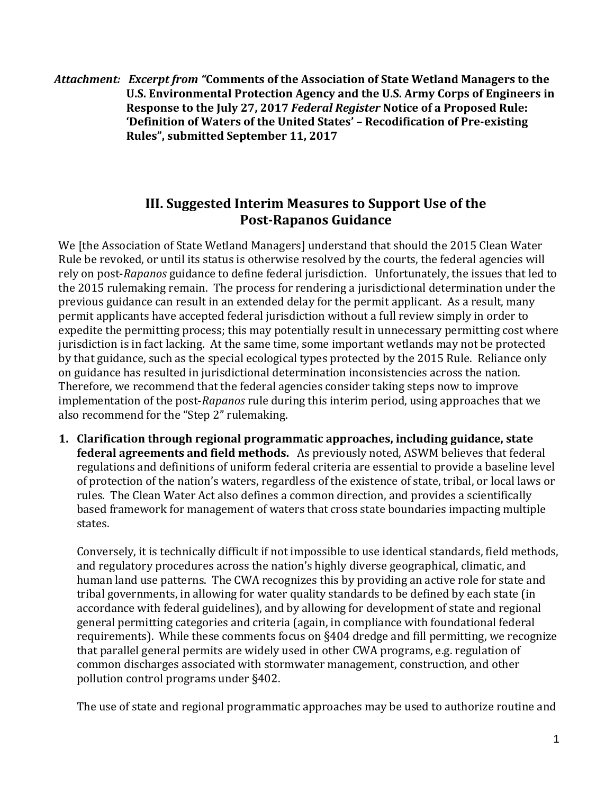*Attachment: Excerpt from "***Comments of the Association of State Wetland Managers to the U.S. Environmental Protection Agency and the U.S. Army Corps of Engineers in Response to the July 27, 2017** *Federal Register* **Notice of a Proposed Rule: 'Definition of Waters of the United States' – Recodification of Pre-existing Rules", submitted September 11, 2017**

## **III. Suggested Interim Measures to Support Use of the Post-Rapanos Guidance**

We [the Association of State Wetland Managers] understand that should the 2015 Clean Water Rule be revoked, or until its status is otherwise resolved by the courts, the federal agencies will rely on post-*Rapanos* guidance to define federal jurisdiction. Unfortunately, the issues that led to the 2015 rulemaking remain. The process for rendering a jurisdictional determination under the previous guidance can result in an extended delay for the permit applicant. As a result, many permit applicants have accepted federal jurisdiction without a full review simply in order to expedite the permitting process; this may potentially result in unnecessary permitting cost where jurisdiction is in fact lacking. At the same time, some important wetlands may not be protected by that guidance, such as the special ecological types protected by the 2015 Rule. Reliance only on guidance has resulted in jurisdictional determination inconsistencies across the nation. Therefore, we recommend that the federal agencies consider taking steps now to improve implementation of the post-*Rapanos* rule during this interim period, using approaches that we also recommend for the "Step 2" rulemaking.

**1. Clarification through regional programmatic approaches, including guidance, state federal agreements and field methods.** As previously noted, ASWM believes that federal regulations and definitions of uniform federal criteria are essential to provide a baseline level of protection of the nation's waters, regardless of the existence of state, tribal, or local laws or rules. The Clean Water Act also defines a common direction, and provides a scientifically based framework for management of waters that cross state boundaries impacting multiple states.

Conversely, it is technically difficult if not impossible to use identical standards, field methods, and regulatory procedures across the nation's highly diverse geographical, climatic, and human land use patterns. The CWA recognizes this by providing an active role for state and tribal governments, in allowing for water quality standards to be defined by each state (in accordance with federal guidelines), and by allowing for development of state and regional general permitting categories and criteria (again, in compliance with foundational federal requirements). While these comments focus on §404 dredge and fill permitting, we recognize that parallel general permits are widely used in other CWA programs, e.g. regulation of common discharges associated with stormwater management, construction, and other pollution control programs under §402.

The use of state and regional programmatic approaches may be used to authorize routine and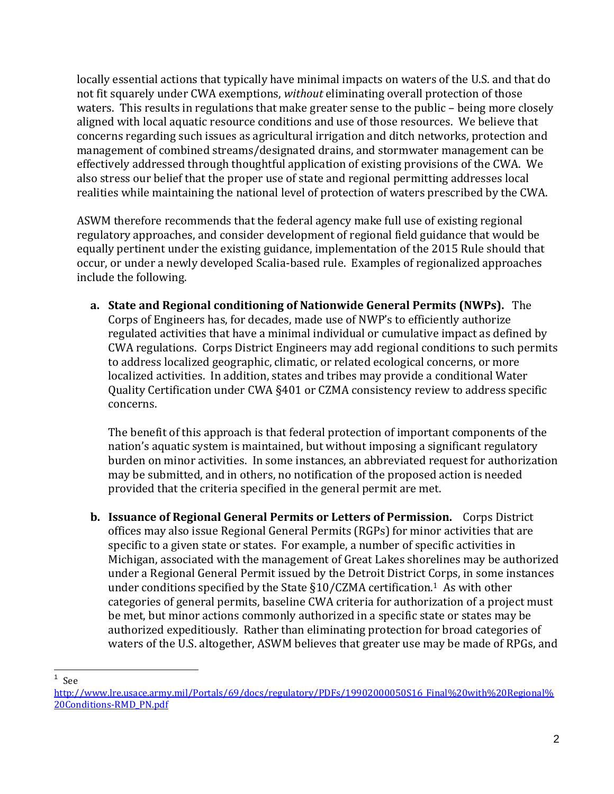locally essential actions that typically have minimal impacts on waters of the U.S. and that do not fit squarely under CWA exemptions, *without* eliminating overall protection of those waters. This results in regulations that make greater sense to the public – being more closely aligned with local aquatic resource conditions and use of those resources. We believe that concerns regarding such issues as agricultural irrigation and ditch networks, protection and management of combined streams/designated drains, and stormwater management can be effectively addressed through thoughtful application of existing provisions of the CWA. We also stress our belief that the proper use of state and regional permitting addresses local realities while maintaining the national level of protection of waters prescribed by the CWA.

ASWM therefore recommends that the federal agency make full use of existing regional regulatory approaches, and consider development of regional field guidance that would be equally pertinent under the existing guidance, implementation of the 2015 Rule should that occur, or under a newly developed Scalia-based rule. Examples of regionalized approaches include the following.

**a. State and Regional conditioning of Nationwide General Permits (NWPs).** The Corps of Engineers has, for decades, made use of NWP's to efficiently authorize regulated activities that have a minimal individual or cumulative impact as defined by CWA regulations. Corps District Engineers may add regional conditions to such permits to address localized geographic, climatic, or related ecological concerns, or more localized activities. In addition, states and tribes may provide a conditional Water Quality Certification under CWA §401 or CZMA consistency review to address specific concerns.

The benefit of this approach is that federal protection of important components of the nation's aquatic system is maintained, but without imposing a significant regulatory burden on minor activities. In some instances, an abbreviated request for authorization may be submitted, and in others, no notification of the proposed action is needed provided that the criteria specified in the general permit are met.

**b. Issuance of Regional General Permits or Letters of Permission.** Corps District offices may also issue Regional General Permits (RGPs) for minor activities that are specific to a given state or states. For example, a number of specific activities in Michigan, associated with the management of Great Lakes shorelines may be authorized under a Regional General Permit issued by the Detroit District Corps, in some instances under conditions specified by the State  $\S10/CZMA$  certification.<sup>1</sup> As with other categories of general permits, baseline CWA criteria for authorization of a project must be met, but minor actions commonly authorized in a specific state or states may be authorized expeditiously. Rather than eliminating protection for broad categories of waters of the U.S. altogether, ASWM believes that greater use may be made of RPGs, and

 $\overline{a}$  $1$  See

[http://www.lre.usace.army.mil/Portals/69/docs/regulatory/PDFs/19902000050S16\\_Final%20with%20Regional%](http://www.lre.usace.army.mil/Portals/69/docs/regulatory/PDFs/19902000050S16_Final%20with%20Regional%20Conditions-RMD_PN.pdf) [20Conditions-RMD\\_PN.pdf](http://www.lre.usace.army.mil/Portals/69/docs/regulatory/PDFs/19902000050S16_Final%20with%20Regional%20Conditions-RMD_PN.pdf)